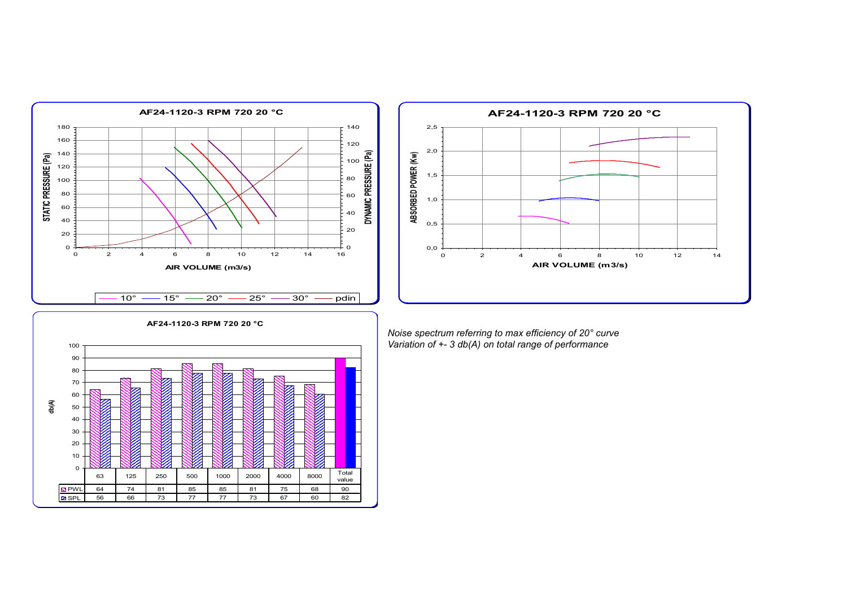



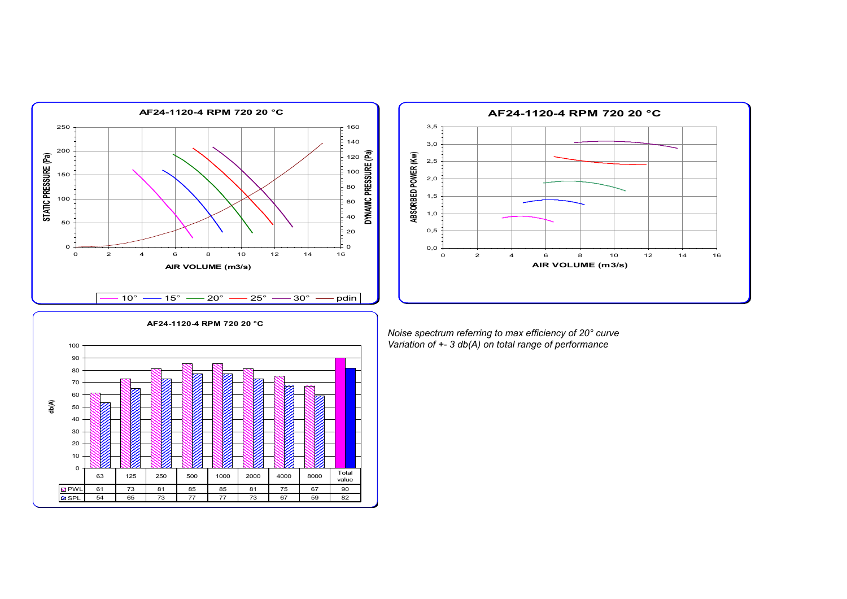



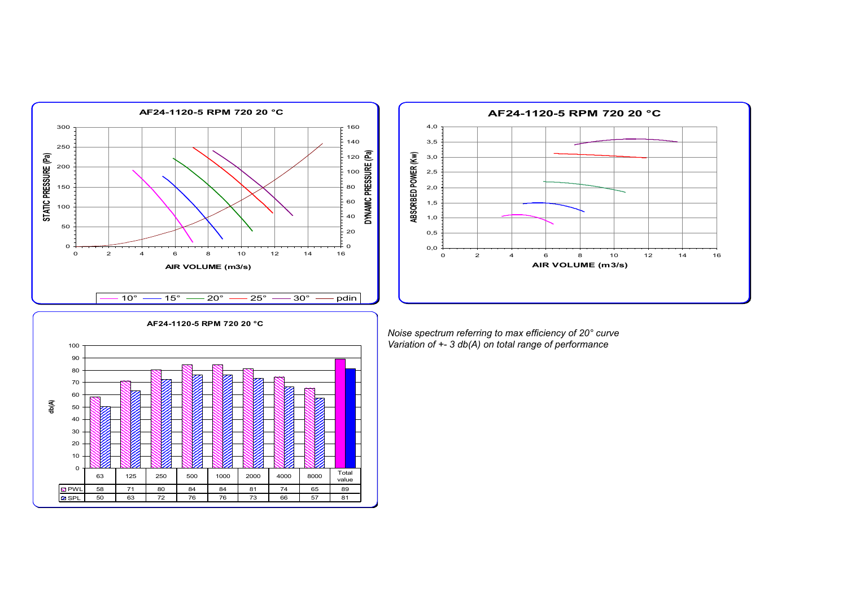



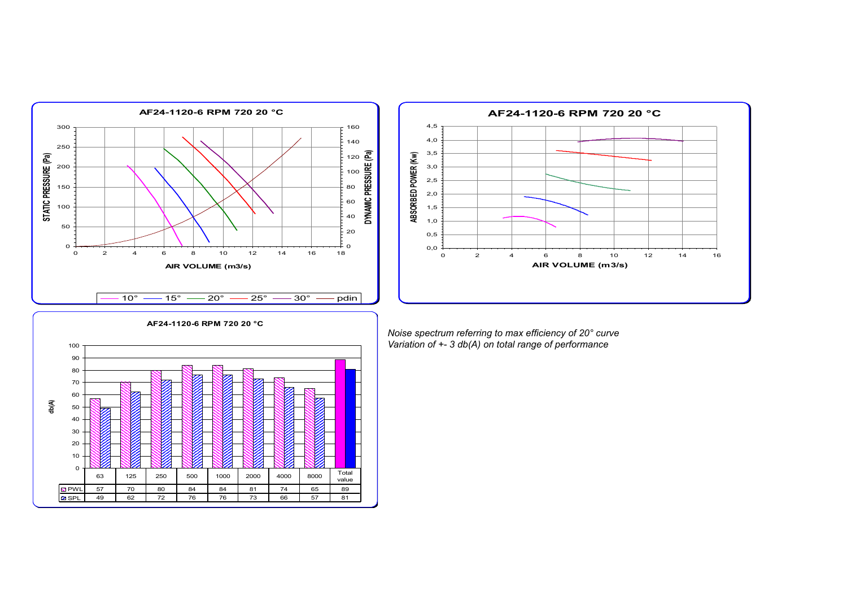